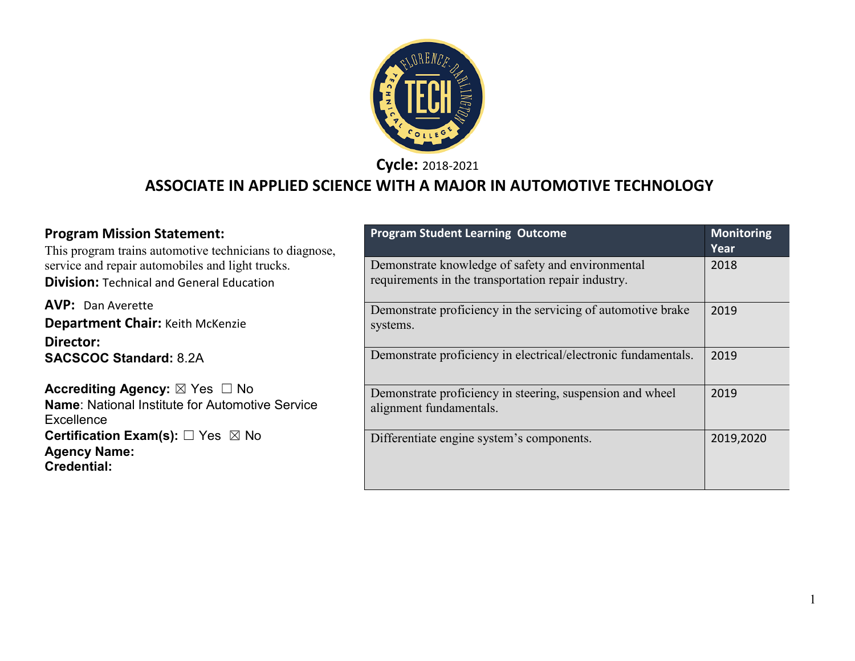

**Cycle:** 2018-2021

## **ASSOCIATE IN APPLIED SCIENCE WITH A MAJOR IN AUTOMOTIVE TECHNOLOGY**

| <b>Program Mission Statement:</b><br>This program trains automotive technicians to diagnose,           | <b>Program Student Learning Outcome</b>                                                                  | <b>Monitoring</b><br>Year |
|--------------------------------------------------------------------------------------------------------|----------------------------------------------------------------------------------------------------------|---------------------------|
| service and repair automobiles and light trucks.<br><b>Division: Technical and General Education</b>   | Demonstrate knowledge of safety and environmental<br>requirements in the transportation repair industry. | 2018                      |
| <b>AVP: Dan Averette</b><br><b>Department Chair: Keith McKenzie</b><br>Director:                       | Demonstrate proficiency in the servicing of automotive brake<br>systems.                                 | 2019                      |
| <b>SACSCOC Standard: 8.2A</b>                                                                          | Demonstrate proficiency in electrical/electronic fundamentals.                                           | 2019                      |
| Accrediting Agency: ⊠ Yes □ No<br><b>Name:</b> National Institute for Automotive Service<br>Excellence | Demonstrate proficiency in steering, suspension and wheel<br>alignment fundamentals.                     | 2019                      |
| <b>Certification Exam(s):</b> $\Box$ Yes $\boxtimes$ No<br><b>Agency Name:</b><br><b>Credential:</b>   | Differentiate engine system's components.                                                                | 2019,2020                 |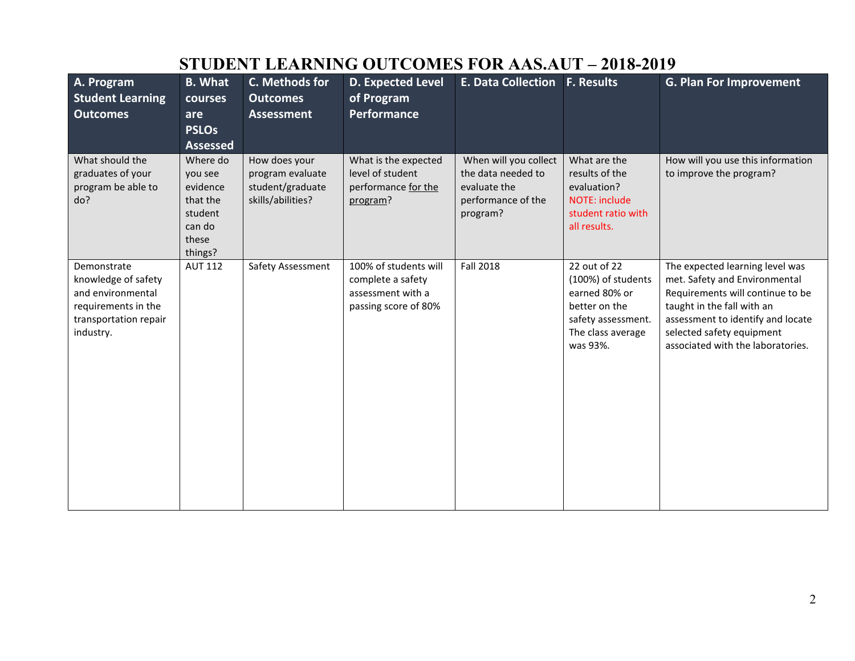|                         |                     | эторын рымшто     |                          | <b>OUTCOMEDI OR ALBERT</b>      | $2010$ - $2017$      |                                   |
|-------------------------|---------------------|-------------------|--------------------------|---------------------------------|----------------------|-----------------------------------|
| A. Program              | <b>B.</b> What      | C. Methods for    | <b>D. Expected Level</b> | E. Data Collection   F. Results |                      | <b>G. Plan For Improvement</b>    |
| <b>Student Learning</b> | courses             | <b>Outcomes</b>   | of Program               |                                 |                      |                                   |
| <b>Outcomes</b>         | are<br><b>PSLOs</b> | <b>Assessment</b> | <b>Performance</b>       |                                 |                      |                                   |
|                         | <b>Assessed</b>     |                   |                          |                                 |                      |                                   |
| What should the         | Where do            | How does your     | What is the expected     | When will you collect           | What are the         | How will you use this information |
| graduates of your       | you see             | program evaluate  | level of student         | the data needed to              | results of the       | to improve the program?           |
| program be able to      | evidence            | student/graduate  | performance for the      | evaluate the                    | evaluation?          |                                   |
| do?                     | that the            | skills/abilities? | program?                 | performance of the              | <b>NOTE: include</b> |                                   |
|                         | student             |                   |                          | program?                        | student ratio with   |                                   |
|                         | can do              |                   |                          |                                 | all results.         |                                   |
|                         | these               |                   |                          |                                 |                      |                                   |
|                         | things?             |                   |                          |                                 |                      |                                   |
| Demonstrate             | <b>AUT 112</b>      | Safety Assessment | 100% of students will    | <b>Fall 2018</b>                | 22 out of 22         | The expected learning level was   |
| knowledge of safety     |                     |                   | complete a safety        |                                 | (100%) of students   | met. Safety and Environmental     |
| and environmental       |                     |                   | assessment with a        |                                 | earned 80% or        | Requirements will continue to be  |
| requirements in the     |                     |                   | passing score of 80%     |                                 | better on the        | taught in the fall with an        |
| transportation repair   |                     |                   |                          |                                 | safety assessment.   | assessment to identify and locate |
| industry.               |                     |                   |                          |                                 | The class average    | selected safety equipment         |
|                         |                     |                   |                          |                                 | was 93%.             | associated with the laboratories. |
|                         |                     |                   |                          |                                 |                      |                                   |
|                         |                     |                   |                          |                                 |                      |                                   |
|                         |                     |                   |                          |                                 |                      |                                   |
|                         |                     |                   |                          |                                 |                      |                                   |
|                         |                     |                   |                          |                                 |                      |                                   |
|                         |                     |                   |                          |                                 |                      |                                   |
|                         |                     |                   |                          |                                 |                      |                                   |
|                         |                     |                   |                          |                                 |                      |                                   |
|                         |                     |                   |                          |                                 |                      |                                   |
|                         |                     |                   |                          |                                 |                      |                                   |

### **STUDENT LEARNING OUTCOMES FOR AAS.AUT – 2018-2019**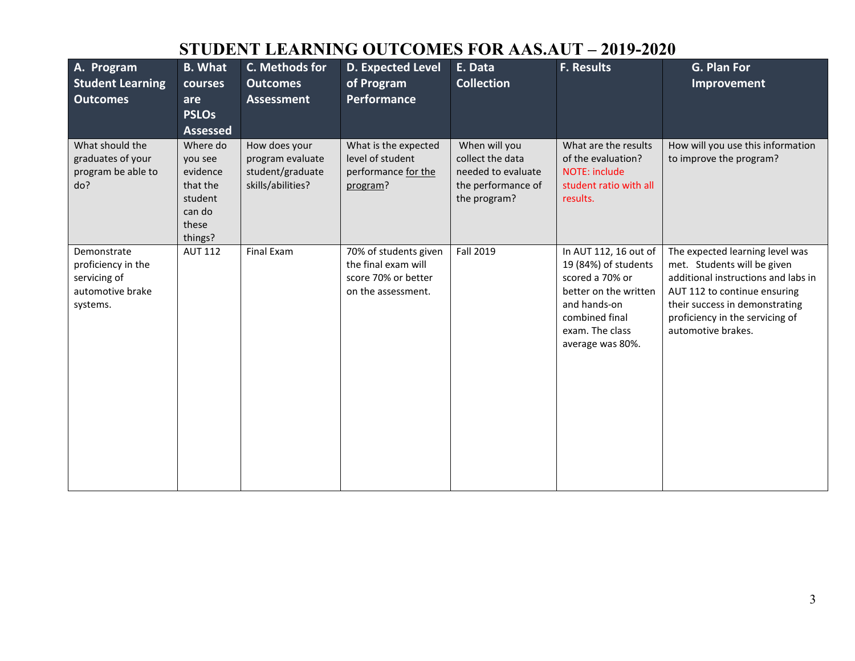### **STUDENT LEARNING OUTCOMES FOR AAS.AUT – 2019-2020**

| A. Program<br><b>Student Learning</b><br><b>Outcomes</b>                          | <b>B.</b> What<br>courses<br>are<br><b>PSLOs</b><br><b>Assessed</b>                  | C. Methods for<br><b>Outcomes</b><br><b>Assessment</b>                     | <b>D. Expected Level</b><br>of Program<br><b>Performance</b>                              | E. Data<br><b>Collection</b>                                                                  | <b>F. Results</b>                                                                                                                                                  | G. Plan For<br>Improvement                                                                                                                                                                                                       |
|-----------------------------------------------------------------------------------|--------------------------------------------------------------------------------------|----------------------------------------------------------------------------|-------------------------------------------------------------------------------------------|-----------------------------------------------------------------------------------------------|--------------------------------------------------------------------------------------------------------------------------------------------------------------------|----------------------------------------------------------------------------------------------------------------------------------------------------------------------------------------------------------------------------------|
| What should the<br>graduates of your<br>program be able to<br>do?                 | Where do<br>you see<br>evidence<br>that the<br>student<br>can do<br>these<br>things? | How does your<br>program evaluate<br>student/graduate<br>skills/abilities? | What is the expected<br>level of student<br>performance for the<br>program?               | When will you<br>collect the data<br>needed to evaluate<br>the performance of<br>the program? | What are the results<br>of the evaluation?<br><b>NOTE: include</b><br>student ratio with all<br>results.                                                           | How will you use this information<br>to improve the program?                                                                                                                                                                     |
| Demonstrate<br>proficiency in the<br>servicing of<br>automotive brake<br>systems. | <b>AUT 112</b>                                                                       | Final Exam                                                                 | 70% of students given<br>the final exam will<br>score 70% or better<br>on the assessment. | Fall 2019                                                                                     | In AUT 112, 16 out of<br>19 (84%) of students<br>scored a 70% or<br>better on the written<br>and hands-on<br>combined final<br>exam. The class<br>average was 80%. | The expected learning level was<br>met. Students will be given<br>additional instructions and labs in<br>AUT 112 to continue ensuring<br>their success in demonstrating<br>proficiency in the servicing of<br>automotive brakes. |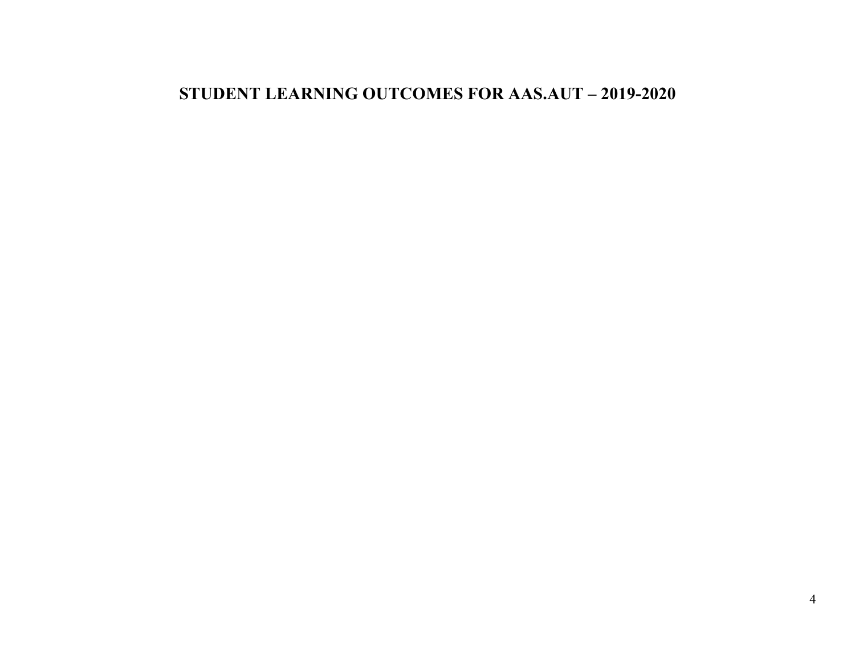#### **STUDENT LEARNING OUTCOMES FOR AAS.AUT – 2019-2020**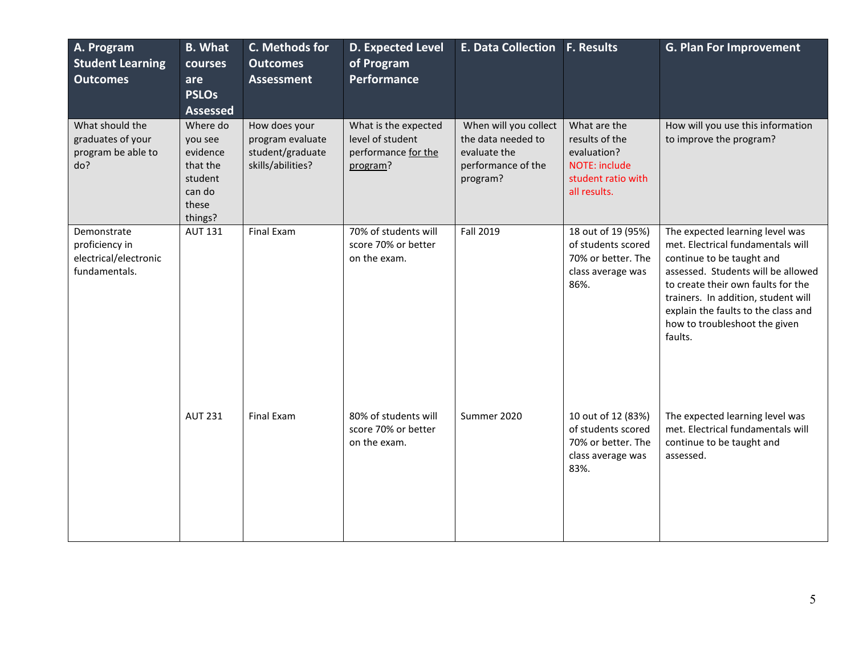| A. Program<br><b>Student Learning</b><br><b>Outcomes</b>                | <b>B.</b> What<br>courses<br>are<br><b>PSLOs</b><br><b>Assessed</b>                  | C. Methods for<br><b>Outcomes</b><br><b>Assessment</b>                     | <b>D. Expected Level</b><br>of Program<br>Performance                       | E. Data Collection F. Results                                                                 |                                                                                                             | <b>G. Plan For Improvement</b>                                                                                                                                                                                                                                                                          |
|-------------------------------------------------------------------------|--------------------------------------------------------------------------------------|----------------------------------------------------------------------------|-----------------------------------------------------------------------------|-----------------------------------------------------------------------------------------------|-------------------------------------------------------------------------------------------------------------|---------------------------------------------------------------------------------------------------------------------------------------------------------------------------------------------------------------------------------------------------------------------------------------------------------|
| What should the<br>graduates of your<br>program be able to<br>do?       | Where do<br>you see<br>evidence<br>that the<br>student<br>can do<br>these<br>things? | How does your<br>program evaluate<br>student/graduate<br>skills/abilities? | What is the expected<br>level of student<br>performance for the<br>program? | When will you collect<br>the data needed to<br>evaluate the<br>performance of the<br>program? | What are the<br>results of the<br>evaluation?<br><b>NOTE: include</b><br>student ratio with<br>all results. | How will you use this information<br>to improve the program?                                                                                                                                                                                                                                            |
| Demonstrate<br>proficiency in<br>electrical/electronic<br>fundamentals. | <b>AUT 131</b>                                                                       | <b>Final Exam</b>                                                          | 70% of students will<br>score 70% or better<br>on the exam.                 | Fall 2019                                                                                     | 18 out of 19 (95%)<br>of students scored<br>70% or better. The<br>class average was<br>86%.                 | The expected learning level was<br>met. Electrical fundamentals will<br>continue to be taught and<br>assessed. Students will be allowed<br>to create their own faults for the<br>trainers. In addition, student will<br>explain the faults to the class and<br>how to troubleshoot the given<br>faults. |
|                                                                         | <b>AUT 231</b>                                                                       | Final Exam                                                                 | 80% of students will<br>score 70% or better<br>on the exam.                 | Summer 2020                                                                                   | 10 out of 12 (83%)<br>of students scored<br>70% or better. The<br>class average was<br>83%.                 | The expected learning level was<br>met. Electrical fundamentals will<br>continue to be taught and<br>assessed.                                                                                                                                                                                          |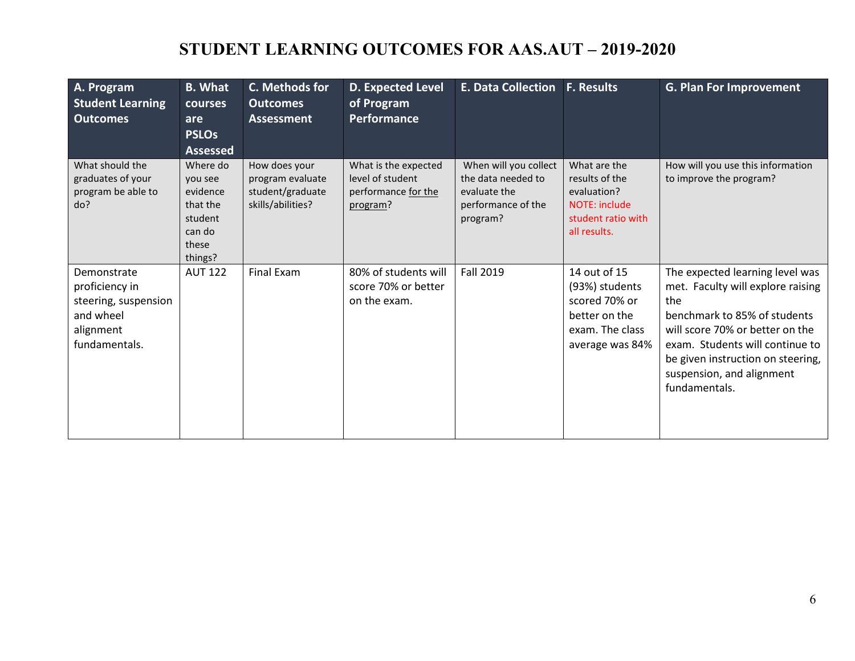### **STUDENT LEARNING OUTCOMES FOR AAS.AUT – 2019-2020**

| A. Program<br><b>Student Learning</b><br><b>Outcomes</b>                                         | <b>B.</b> What<br><b>courses</b><br>are<br><b>PSLOs</b><br><b>Assessed</b>           | C. Methods for<br><b>Outcomes</b><br><b>Assessment</b>                     | D. Expected Level<br>of Program<br><b>Performance</b>                       | <b>E. Data Collection</b>                                                                     | <b>F. Results</b>                                                                                           | <b>G. Plan For Improvement</b>                                                                                                                                                                                                                                       |
|--------------------------------------------------------------------------------------------------|--------------------------------------------------------------------------------------|----------------------------------------------------------------------------|-----------------------------------------------------------------------------|-----------------------------------------------------------------------------------------------|-------------------------------------------------------------------------------------------------------------|----------------------------------------------------------------------------------------------------------------------------------------------------------------------------------------------------------------------------------------------------------------------|
| What should the<br>graduates of your<br>program be able to<br>do?                                | Where do<br>you see<br>evidence<br>that the<br>student<br>can do<br>these<br>things? | How does your<br>program evaluate<br>student/graduate<br>skills/abilities? | What is the expected<br>level of student<br>performance for the<br>program? | When will you collect<br>the data needed to<br>evaluate the<br>performance of the<br>program? | What are the<br>results of the<br>evaluation?<br><b>NOTE: include</b><br>student ratio with<br>all results. | How will you use this information<br>to improve the program?                                                                                                                                                                                                         |
| Demonstrate<br>proficiency in<br>steering, suspension<br>and wheel<br>alignment<br>fundamentals. | <b>AUT 122</b>                                                                       | <b>Final Exam</b>                                                          | 80% of students will<br>score 70% or better<br>on the exam.                 | <b>Fall 2019</b>                                                                              | 14 out of 15<br>(93%) students<br>scored 70% or<br>better on the<br>exam. The class<br>average was 84%      | The expected learning level was<br>met. Faculty will explore raising<br>the<br>benchmark to 85% of students<br>will score 70% or better on the<br>exam. Students will continue to<br>be given instruction on steering,<br>suspension, and alignment<br>fundamentals. |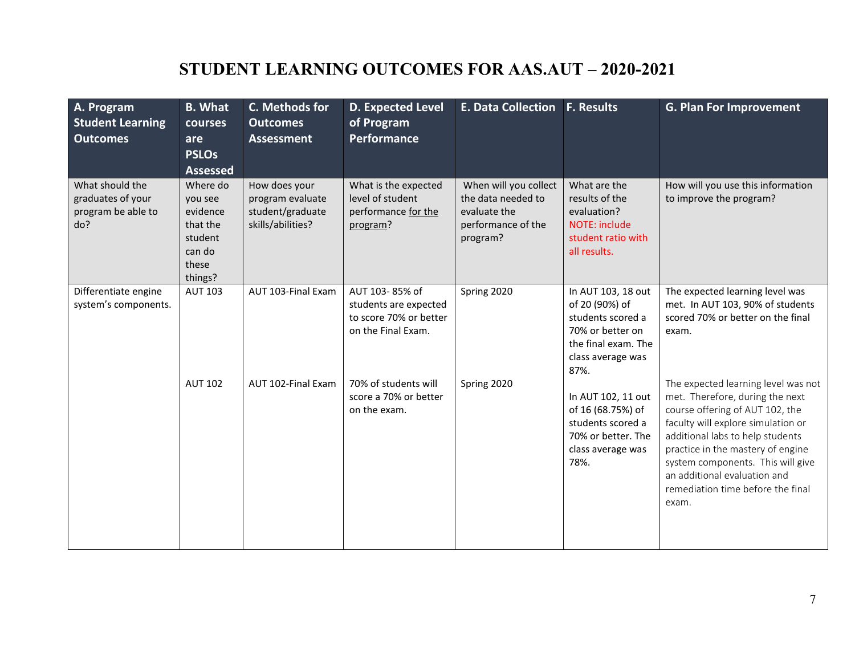# **STUDENT LEARNING OUTCOMES FOR AAS.AUT – 2020-2021**

| A. Program<br><b>Student Learning</b><br><b>Outcomes</b>          | <b>B.</b> What<br><b>courses</b><br>are<br><b>PSLOs</b><br><b>Assessed</b>           | C. Methods for<br><b>Outcomes</b><br><b>Assessment</b>                     | <b>D. Expected Level</b><br>of Program<br>Performance                                   | <b>E. Data Collection</b>                                                                     | <b>F. Results</b>                                                                                                                 | <b>G. Plan For Improvement</b>                                                                                                                                                                                                                                                                                                              |
|-------------------------------------------------------------------|--------------------------------------------------------------------------------------|----------------------------------------------------------------------------|-----------------------------------------------------------------------------------------|-----------------------------------------------------------------------------------------------|-----------------------------------------------------------------------------------------------------------------------------------|---------------------------------------------------------------------------------------------------------------------------------------------------------------------------------------------------------------------------------------------------------------------------------------------------------------------------------------------|
| What should the<br>graduates of your<br>program be able to<br>do? | Where do<br>you see<br>evidence<br>that the<br>student<br>can do<br>these<br>things? | How does your<br>program evaluate<br>student/graduate<br>skills/abilities? | What is the expected<br>level of student<br>performance for the<br>program?             | When will you collect<br>the data needed to<br>evaluate the<br>performance of the<br>program? | What are the<br>results of the<br>evaluation?<br><b>NOTE: include</b><br>student ratio with<br>all results.                       | How will you use this information<br>to improve the program?                                                                                                                                                                                                                                                                                |
| Differentiate engine<br>system's components.                      | <b>AUT 103</b>                                                                       | AUT 103-Final Exam                                                         | AUT 103-85% of<br>students are expected<br>to score 70% or better<br>on the Final Exam. | Spring 2020                                                                                   | In AUT 103, 18 out<br>of 20 (90%) of<br>students scored a<br>70% or better on<br>the final exam. The<br>class average was<br>87%. | The expected learning level was<br>met. In AUT 103, 90% of students<br>scored 70% or better on the final<br>exam.                                                                                                                                                                                                                           |
|                                                                   | <b>AUT 102</b>                                                                       | AUT 102-Final Exam                                                         | 70% of students will<br>score a 70% or better<br>on the exam.                           | Spring 2020                                                                                   | In AUT 102, 11 out<br>of 16 (68.75%) of<br>students scored a<br>70% or better. The<br>class average was<br>78%.                   | The expected learning level was not<br>met. Therefore, during the next<br>course offering of AUT 102, the<br>faculty will explore simulation or<br>additional labs to help students<br>practice in the mastery of engine<br>system components. This will give<br>an additional evaluation and<br>remediation time before the final<br>exam. |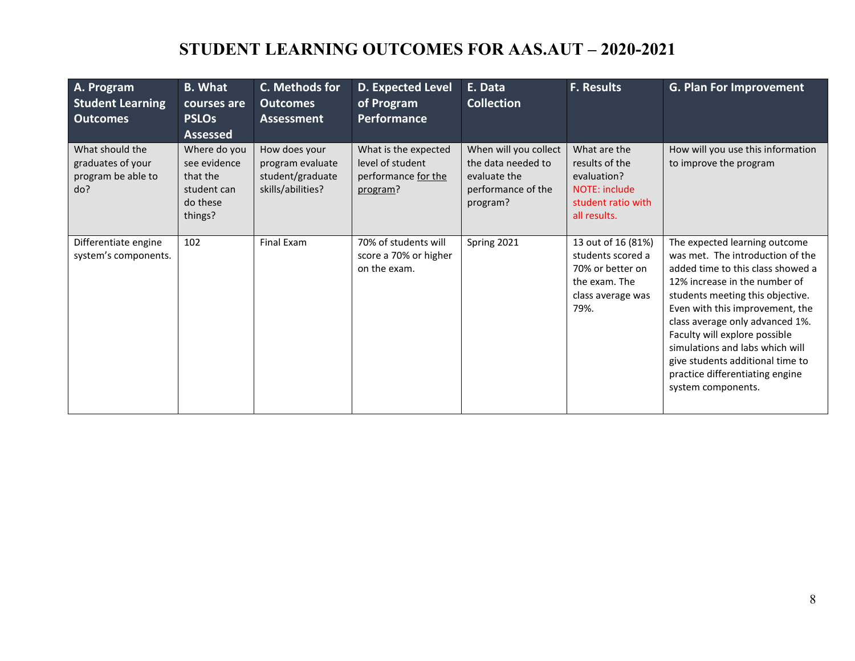## **STUDENT LEARNING OUTCOMES FOR AAS.AUT – 2020-2021**

| A. Program<br><b>Student Learning</b><br><b>Outcomes</b>          | <b>B.</b> What<br>courses are<br><b>PSLOs</b><br><b>Assessed</b>               | C. Methods for<br><b>Outcomes</b><br><b>Assessment</b>                     | <b>D. Expected Level</b><br>of Program<br><b>Performance</b>                | E. Data<br><b>Collection</b>                                                                  | <b>F. Results</b>                                                                                           | <b>G. Plan For Improvement</b>                                                                                                                                                                                                                                                                                                                                                                                     |
|-------------------------------------------------------------------|--------------------------------------------------------------------------------|----------------------------------------------------------------------------|-----------------------------------------------------------------------------|-----------------------------------------------------------------------------------------------|-------------------------------------------------------------------------------------------------------------|--------------------------------------------------------------------------------------------------------------------------------------------------------------------------------------------------------------------------------------------------------------------------------------------------------------------------------------------------------------------------------------------------------------------|
| What should the<br>graduates of your<br>program be able to<br>do? | Where do you<br>see evidence<br>that the<br>student can<br>do these<br>things? | How does your<br>program evaluate<br>student/graduate<br>skills/abilities? | What is the expected<br>level of student<br>performance for the<br>program? | When will you collect<br>the data needed to<br>evaluate the<br>performance of the<br>program? | What are the<br>results of the<br>evaluation?<br><b>NOTE: include</b><br>student ratio with<br>all results. | How will you use this information<br>to improve the program                                                                                                                                                                                                                                                                                                                                                        |
| Differentiate engine<br>system's components.                      | 102                                                                            | Final Exam                                                                 | 70% of students will<br>score a 70% or higher<br>on the exam.               | Spring 2021                                                                                   | 13 out of 16 (81%)<br>students scored a<br>70% or better on<br>the exam. The<br>class average was<br>79%.   | The expected learning outcome<br>was met. The introduction of the<br>added time to this class showed a<br>12% increase in the number of<br>students meeting this objective.<br>Even with this improvement, the<br>class average only advanced 1%.<br>Faculty will explore possible<br>simulations and labs which will<br>give students additional time to<br>practice differentiating engine<br>system components. |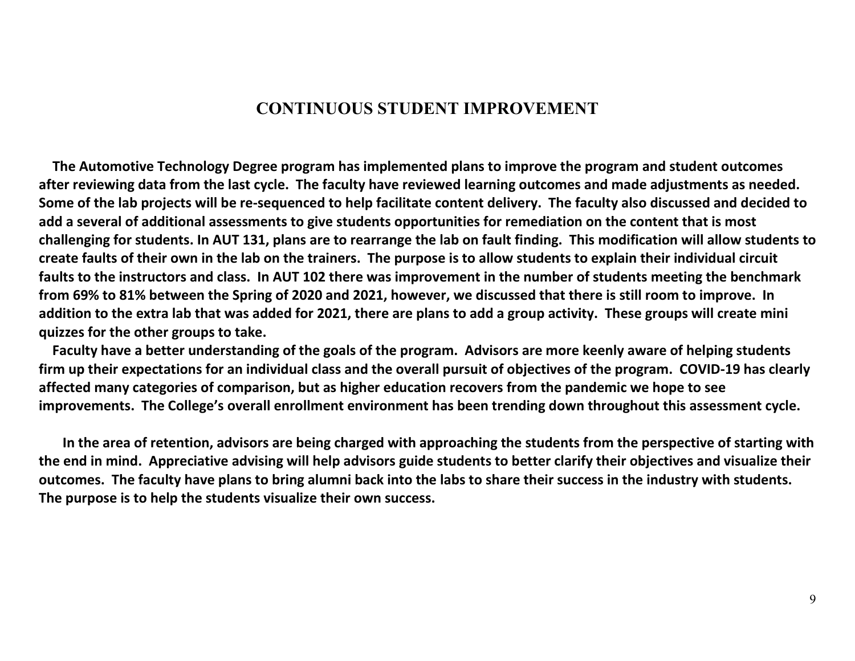#### **CONTINUOUS STUDENT IMPROVEMENT**

 **The Automotive Technology Degree program has implemented plans to improve the program and student outcomes after reviewing data from the last cycle. The faculty have reviewed learning outcomes and made adjustments as needed. Some of the lab projects will be re-sequenced to help facilitate content delivery. The faculty also discussed and decided to add a several of additional assessments to give students opportunities for remediation on the content that is most challenging for students. In AUT 131, plans are to rearrange the lab on fault finding. This modification will allow students to create faults of their own in the lab on the trainers. The purpose is to allow students to explain their individual circuit faults to the instructors and class. In AUT 102 there was improvement in the number of students meeting the benchmark from 69% to 81% between the Spring of 2020 and 2021, however, we discussed that there is still room to improve. In addition to the extra lab that was added for 2021, there are plans to add a group activity. These groups will create mini quizzes for the other groups to take.** 

 **Faculty have a better understanding of the goals of the program. Advisors are more keenly aware of helping students firm up their expectations for an individual class and the overall pursuit of objectives of the program. COVID-19 has clearly affected many categories of comparison, but as higher education recovers from the pandemic we hope to see improvements. The College's overall enrollment environment has been trending down throughout this assessment cycle.**

 **In the area of retention, advisors are being charged with approaching the students from the perspective of starting with the end in mind. Appreciative advising will help advisors guide students to better clarify their objectives and visualize their outcomes. The faculty have plans to bring alumni back into the labs to share their success in the industry with students. The purpose is to help the students visualize their own success.**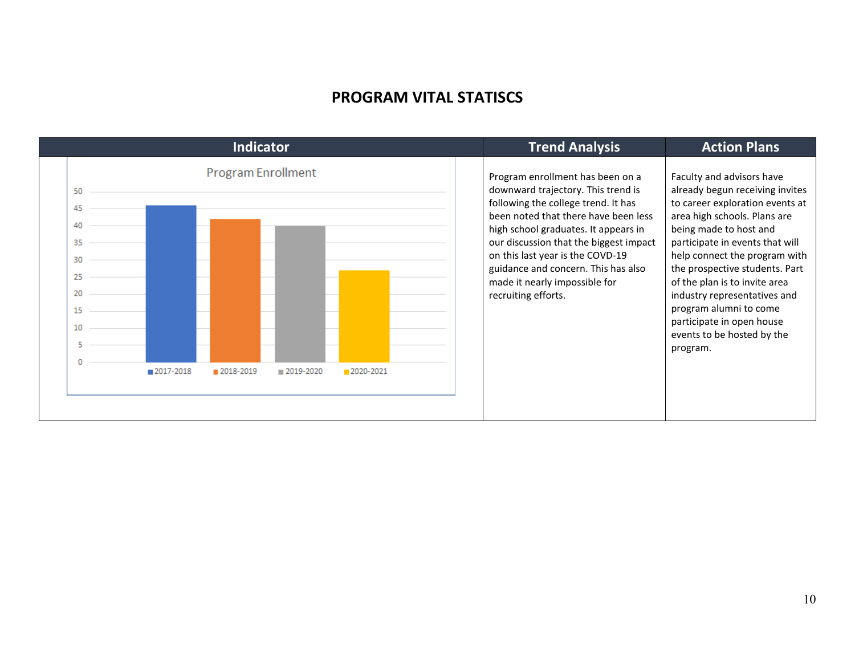#### **PROGRAM VITAL STATISCS**

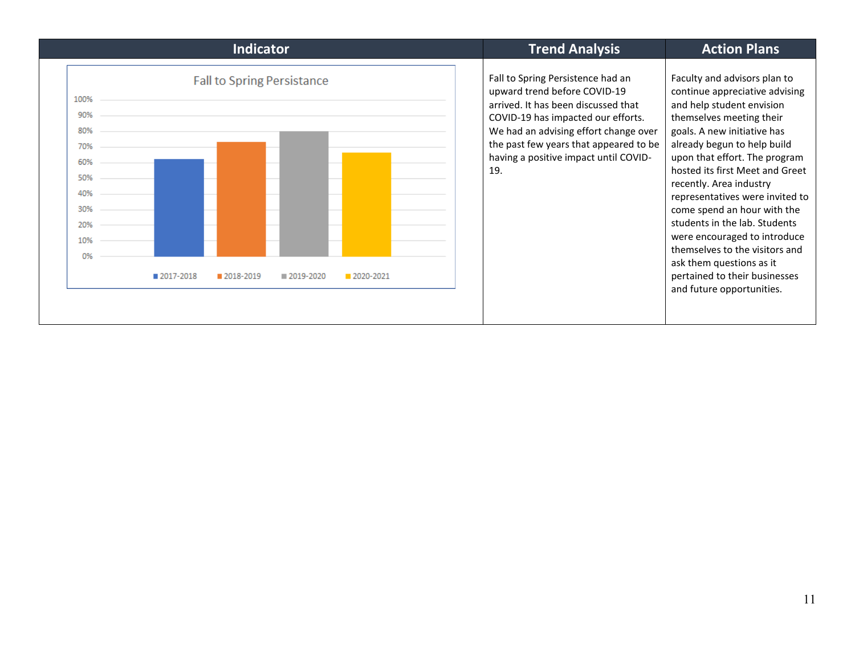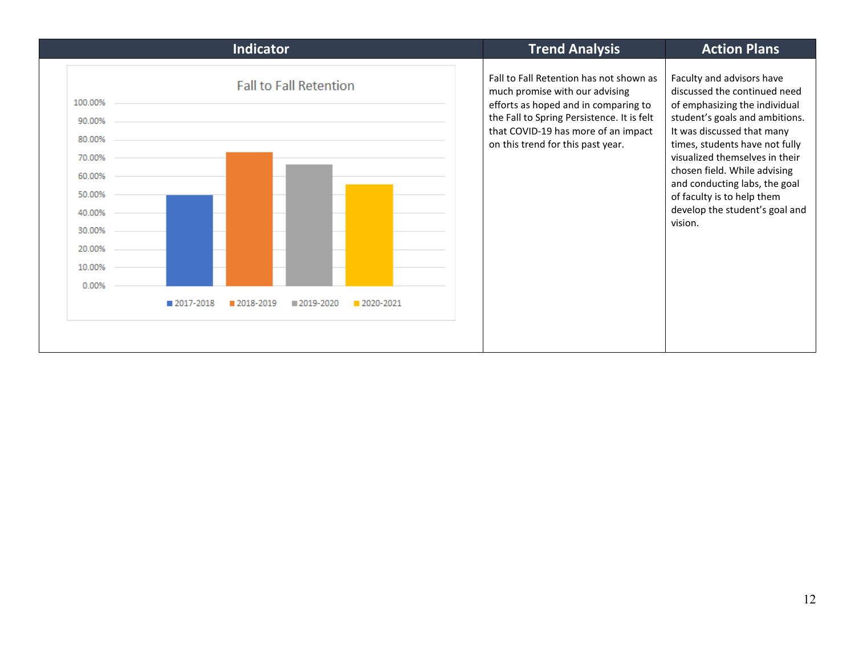| <b>Indicator</b>                                                                                                                                                                                  | <b>Trend Analysis</b>                                                                                                                                                                                                                       | <b>Action Plans</b>                                                                                                                                                                                                                                                                                                                                                        |
|---------------------------------------------------------------------------------------------------------------------------------------------------------------------------------------------------|---------------------------------------------------------------------------------------------------------------------------------------------------------------------------------------------------------------------------------------------|----------------------------------------------------------------------------------------------------------------------------------------------------------------------------------------------------------------------------------------------------------------------------------------------------------------------------------------------------------------------------|
| <b>Fall to Fall Retention</b><br>100.00%<br>90.00%<br>80.00%<br>70.00%<br>60.00%<br>50.00%<br>40.00%<br>30.00%<br>20.00%<br>10.00%<br>0.00%<br>2017-2018<br>2018-2019<br>■ 2019-2020<br>2020-2021 | Fall to Fall Retention has not shown as<br>much promise with our advising<br>efforts as hoped and in comparing to<br>the Fall to Spring Persistence. It is felt<br>that COVID-19 has more of an impact<br>on this trend for this past year. | Faculty and advisors have<br>discussed the continued need<br>of emphasizing the individual<br>student's goals and ambitions.<br>It was discussed that many<br>times, students have not fully<br>visualized themselves in their<br>chosen field. While advising<br>and conducting labs, the goal<br>of faculty is to help them<br>develop the student's goal and<br>vision. |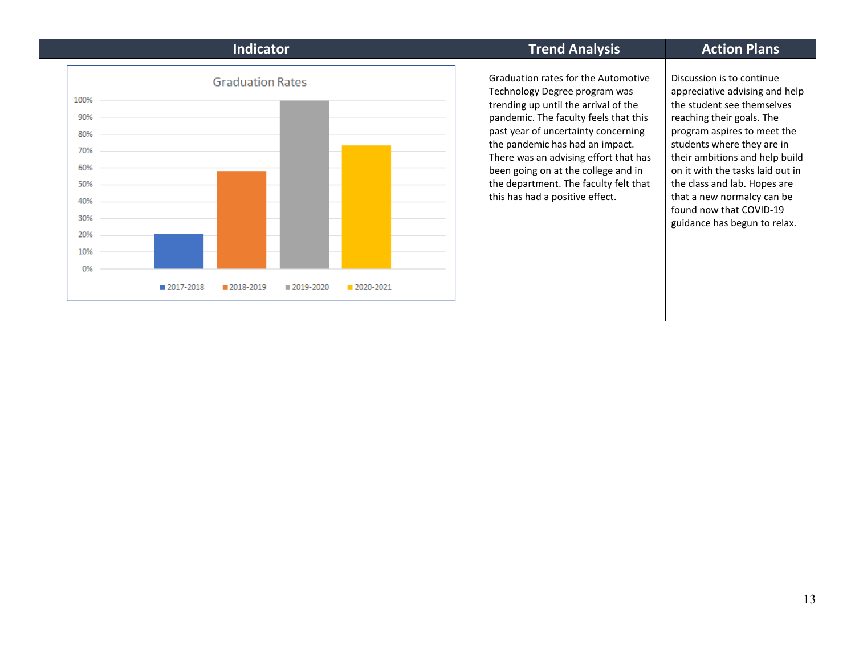